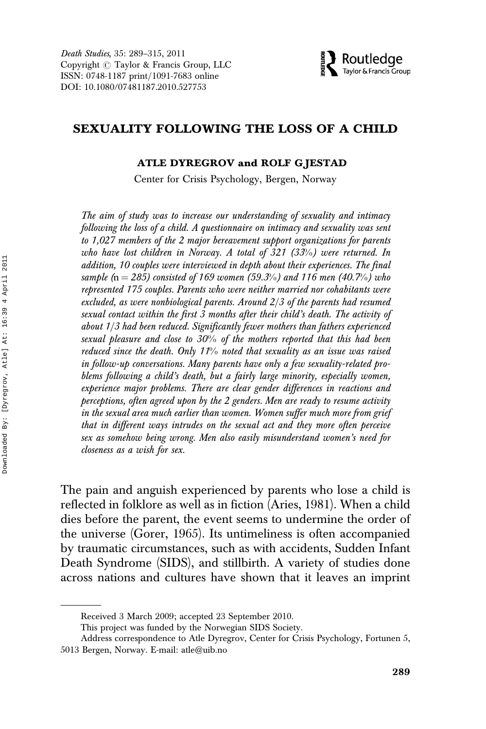

# SEXUALITY FOLLOWING THE LOSS OF A CHILD

#### ATLE DYREGROV and ROLF GJESTAD

Center for Crisis Psychology, Bergen, Norway

The aim of study was to increase our understanding of sexuality and intimacy following the loss of a child. A questionnaire on intimacy and sexuality was sent to 1,027 members of the 2 major bereavement support organizations for parents who have lost children in Norway. A total of 321 (33%) were returned. In addition, 10 couples were interviewed in depth about their experiences. The final sample  $(n = 285)$  consisted of 169 women (59.3%) and 116 men (40.7%) who represented 175 couples. Parents who were neither married nor cohabitants were excluded, as were nonbiological parents. Around  $2/3$  of the parents had resumed sexual contact within the first 3 months after their child's death. The activity of about  $1/3$  had been reduced. Significantly fewer mothers than fathers experienced sexual pleasure and close to 30% of the mothers reported that this had been reduced since the death. Only 11% noted that sexuality as an issue was raised in follow-up conversations. Many parents have only a few sexuality-related problems following a child's death, but a fairly large minority, especially women, experience major problems. There are clear gender differences in reactions and perceptions, often agreed upon by the 2 genders. Men are ready to resume activity in the sexual area much earlier than women. Women suffer much more from grief that in different ways intrudes on the sexual act and they more often perceive sex as somehow being wrong. Men also easily misunderstand women's need for closeness as a wish for sex.

The pain and anguish experienced by parents who lose a child is reflected in folklore as well as in fiction (Aries, 1981). When a child dies before the parent, the event seems to undermine the order of the universe (Gorer, 1965). Its untimeliness is often accompanied by traumatic circumstances, such as with accidents, Sudden Infant Death Syndrome (SIDS), and stillbirth. A variety of studies done across nations and cultures have shown that it leaves an imprint

Received 3 March 2009; accepted 23 September 2010.

This project was funded by the Norwegian SIDS Society.

Address correspondence to Atle Dyregrov, Center for Crisis Psychology, Fortunen 5, 5013 Bergen, Norway. E-mail: atle@uib.no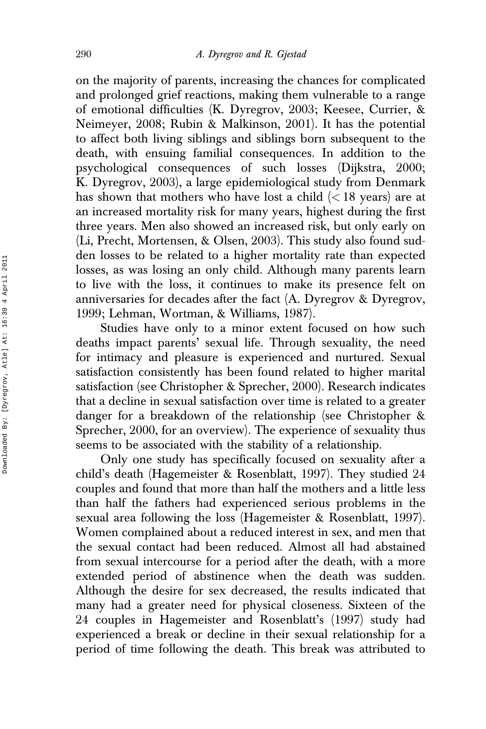on the majority of parents, increasing the chances for complicated and prolonged grief reactions, making them vulnerable to a range of emotional difficulties (K. Dyregrov, 2003; Keesee, Currier, & Neimeyer, 2008; Rubin & Malkinson, 2001). It has the potential to affect both living siblings and siblings born subsequent to the death, with ensuing familial consequences. In addition to the psychological consequences of such losses (Dijkstra, 2000; K. Dyregrov, 2003), a large epidemiological study from Denmark has shown that mothers who have lost a child  $\langle$  18 years) are at an increased mortality risk for many years, highest during the first three years. Men also showed an increased risk, but only early on (Li, Precht, Mortensen, & Olsen, 2003). This study also found sudden losses to be related to a higher mortality rate than expected losses, as was losing an only child. Although many parents learn to live with the loss, it continues to make its presence felt on anniversaries for decades after the fact (A. Dyregrov & Dyregrov, 1999; Lehman, Wortman, & Williams, 1987).

Studies have only to a minor extent focused on how such deaths impact parents' sexual life. Through sexuality, the need for intimacy and pleasure is experienced and nurtured. Sexual satisfaction consistently has been found related to higher marital satisfaction (see Christopher & Sprecher, 2000). Research indicates that a decline in sexual satisfaction over time is related to a greater danger for a breakdown of the relationship (see Christopher & Sprecher, 2000, for an overview). The experience of sexuality thus seems to be associated with the stability of a relationship.

Only one study has specifically focused on sexuality after a child's death (Hagemeister & Rosenblatt, 1997). They studied 24 couples and found that more than half the mothers and a little less than half the fathers had experienced serious problems in the sexual area following the loss (Hagemeister & Rosenblatt, 1997). Women complained about a reduced interest in sex, and men that the sexual contact had been reduced. Almost all had abstained from sexual intercourse for a period after the death, with a more extended period of abstinence when the death was sudden. Although the desire for sex decreased, the results indicated that many had a greater need for physical closeness. Sixteen of the 24 couples in Hagemeister and Rosenblatt's (1997) study had experienced a break or decline in their sexual relationship for a period of time following the death. This break was attributed to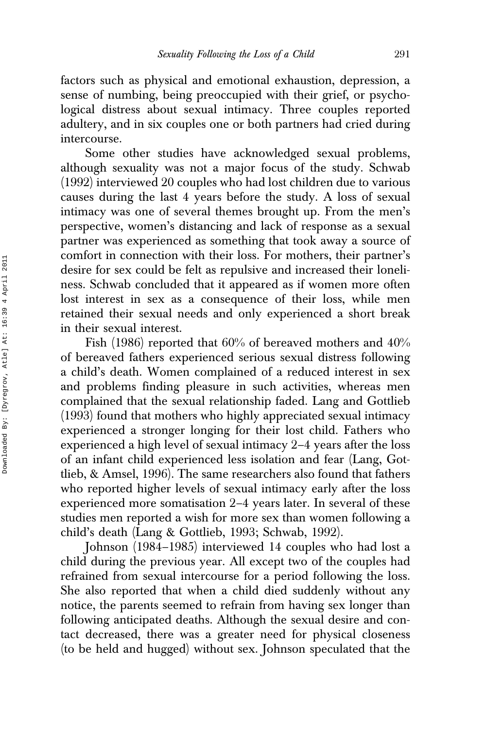factors such as physical and emotional exhaustion, depression, a sense of numbing, being preoccupied with their grief, or psychological distress about sexual intimacy. Three couples reported adultery, and in six couples one or both partners had cried during intercourse.

Some other studies have acknowledged sexual problems, although sexuality was not a major focus of the study. Schwab (1992) interviewed 20 couples who had lost children due to various causes during the last 4 years before the study. A loss of sexual intimacy was one of several themes brought up. From the men's perspective, women's distancing and lack of response as a sexual partner was experienced as something that took away a source of comfort in connection with their loss. For mothers, their partner's desire for sex could be felt as repulsive and increased their loneliness. Schwab concluded that it appeared as if women more often lost interest in sex as a consequence of their loss, while men retained their sexual needs and only experienced a short break in their sexual interest.

Fish (1986) reported that 60% of bereaved mothers and 40% of bereaved fathers experienced serious sexual distress following a child's death. Women complained of a reduced interest in sex and problems finding pleasure in such activities, whereas men complained that the sexual relationship faded. Lang and Gottlieb (1993) found that mothers who highly appreciated sexual intimacy experienced a stronger longing for their lost child. Fathers who experienced a high level of sexual intimacy 2–4 years after the loss of an infant child experienced less isolation and fear (Lang, Gottlieb, & Amsel, 1996). The same researchers also found that fathers who reported higher levels of sexual intimacy early after the loss experienced more somatisation 2–4 years later. In several of these studies men reported a wish for more sex than women following a child's death (Lang & Gottlieb, 1993; Schwab, 1992).

Johnson (1984–1985) interviewed 14 couples who had lost a child during the previous year. All except two of the couples had refrained from sexual intercourse for a period following the loss. She also reported that when a child died suddenly without any notice, the parents seemed to refrain from having sex longer than following anticipated deaths. Although the sexual desire and contact decreased, there was a greater need for physical closeness (to be held and hugged) without sex. Johnson speculated that the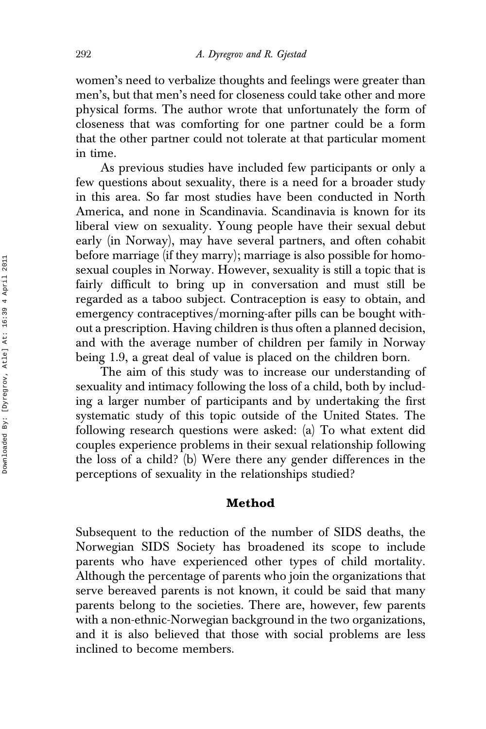women's need to verbalize thoughts and feelings were greater than men's, but that men's need for closeness could take other and more physical forms. The author wrote that unfortunately the form of closeness that was comforting for one partner could be a form that the other partner could not tolerate at that particular moment in time.

As previous studies have included few participants or only a few questions about sexuality, there is a need for a broader study in this area. So far most studies have been conducted in North America, and none in Scandinavia. Scandinavia is known for its liberal view on sexuality. Young people have their sexual debut early (in Norway), may have several partners, and often cohabit before marriage (if they marry); marriage is also possible for homosexual couples in Norway. However, sexuality is still a topic that is fairly difficult to bring up in conversation and must still be regarded as a taboo subject. Contraception is easy to obtain, and  $emergency$  contraceptives/morning-after pills can be bought without a prescription. Having children is thus often a planned decision, and with the average number of children per family in Norway being 1.9, a great deal of value is placed on the children born.

The aim of this study was to increase our understanding of sexuality and intimacy following the loss of a child, both by including a larger number of participants and by undertaking the first systematic study of this topic outside of the United States. The following research questions were asked: (a) To what extent did couples experience problems in their sexual relationship following the loss of a child? (b) Were there any gender differences in the perceptions of sexuality in the relationships studied?

### Method

Subsequent to the reduction of the number of SIDS deaths, the Norwegian SIDS Society has broadened its scope to include parents who have experienced other types of child mortality. Although the percentage of parents who join the organizations that serve bereaved parents is not known, it could be said that many parents belong to the societies. There are, however, few parents with a non-ethnic-Norwegian background in the two organizations, and it is also believed that those with social problems are less inclined to become members.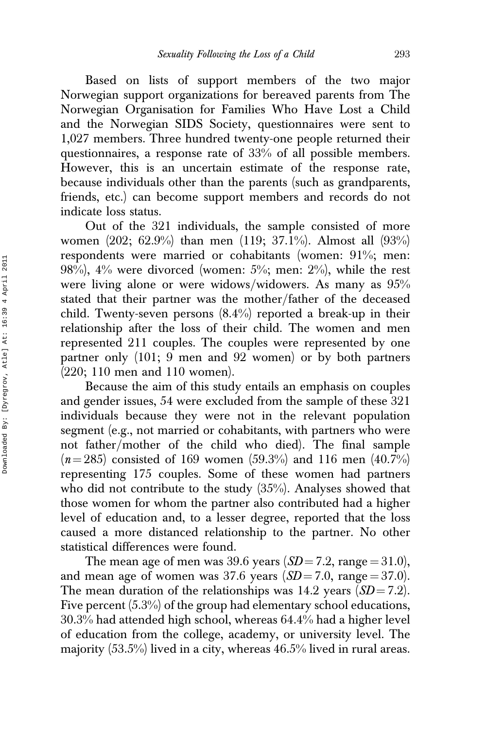Based on lists of support members of the two major Norwegian support organizations for bereaved parents from The Norwegian Organisation for Families Who Have Lost a Child and the Norwegian SIDS Society, questionnaires were sent to 1,027 members. Three hundred twenty-one people returned their questionnaires, a response rate of 33% of all possible members. However, this is an uncertain estimate of the response rate, because individuals other than the parents (such as grandparents, friends, etc.) can become support members and records do not indicate loss status.

Out of the 321 individuals, the sample consisted of more women (202; 62.9%) than men (119; 37.1%). Almost all (93%) respondents were married or cohabitants (women: 91%; men:  $98\%$ ,  $4\%$  were divorced (women:  $5\%$ ; men:  $2\%$ ), while the rest were living alone or were widows/widowers. As many as  $95\%$ stated that their partner was the mother/father of the deceased child. Twenty-seven persons (8.4%) reported a break-up in their relationship after the loss of their child. The women and men represented 211 couples. The couples were represented by one partner only (101; 9 men and 92 women) or by both partners (220; 110 men and 110 women).

Because the aim of this study entails an emphasis on couples and gender issues, 54 were excluded from the sample of these 321 individuals because they were not in the relevant population segment (e.g., not married or cohabitants, with partners who were not father/mother of the child who died). The final sample  $(n = 285)$  consisted of 169 women (59.3%) and 116 men (40.7%) representing 175 couples. Some of these women had partners who did not contribute to the study (35%). Analyses showed that those women for whom the partner also contributed had a higher level of education and, to a lesser degree, reported that the loss caused a more distanced relationship to the partner. No other statistical differences were found.

The mean age of men was 39.6 years  $(SD = 7.2, \text{range} = 31.0)$ , and mean age of women was 37.6 years  $(SD = 7.0, \text{range} = 37.0)$ . The mean duration of the relationships was 14.2 years  $(SD = 7.2)$ . Five percent (5.3%) of the group had elementary school educations, 30.3% had attended high school, whereas 64.4% had a higher level of education from the college, academy, or university level. The majority (53.5%) lived in a city, whereas 46.5% lived in rural areas.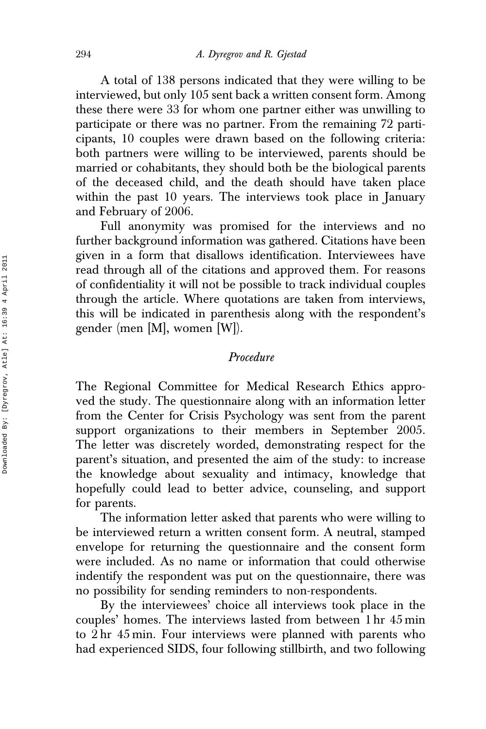A total of 138 persons indicated that they were willing to be interviewed, but only 105 sent back a written consent form. Among these there were 33 for whom one partner either was unwilling to participate or there was no partner. From the remaining 72 participants, 10 couples were drawn based on the following criteria: both partners were willing to be interviewed, parents should be married or cohabitants, they should both be the biological parents of the deceased child, and the death should have taken place within the past 10 years. The interviews took place in January and February of 2006.

Full anonymity was promised for the interviews and no further background information was gathered. Citations have been given in a form that disallows identification. Interviewees have read through all of the citations and approved them. For reasons of confidentiality it will not be possible to track individual couples through the article. Where quotations are taken from interviews, this will be indicated in parenthesis along with the respondent's gender (men [M], women [W]).

# Procedure

The Regional Committee for Medical Research Ethics approved the study. The questionnaire along with an information letter from the Center for Crisis Psychology was sent from the parent support organizations to their members in September 2005. The letter was discretely worded, demonstrating respect for the parent's situation, and presented the aim of the study: to increase the knowledge about sexuality and intimacy, knowledge that hopefully could lead to better advice, counseling, and support for parents.

The information letter asked that parents who were willing to be interviewed return a written consent form. A neutral, stamped envelope for returning the questionnaire and the consent form were included. As no name or information that could otherwise indentify the respondent was put on the questionnaire, there was no possibility for sending reminders to non-respondents.

By the interviewees' choice all interviews took place in the couples' homes. The interviews lasted from between 1 hr 45 min to 2 hr 45 min. Four interviews were planned with parents who had experienced SIDS, four following stillbirth, and two following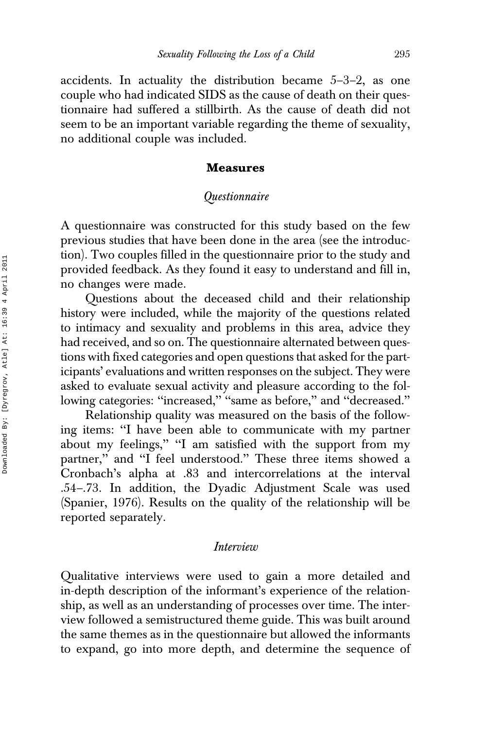accidents. In actuality the distribution became 5–3–2, as one couple who had indicated SIDS as the cause of death on their questionnaire had suffered a stillbirth. As the cause of death did not seem to be an important variable regarding the theme of sexuality, no additional couple was included.

#### Measures

#### Questionnaire

A questionnaire was constructed for this study based on the few previous studies that have been done in the area (see the introduction). Two couples filled in the questionnaire prior to the study and provided feedback. As they found it easy to understand and fill in, no changes were made.

Questions about the deceased child and their relationship history were included, while the majority of the questions related to intimacy and sexuality and problems in this area, advice they had received, and so on. The questionnaire alternated between questions with fixed categories and open questions that asked for the participants' evaluations and written responses on the subject. They were asked to evaluate sexual activity and pleasure according to the following categories: "increased," "same as before," and "decreased."

Relationship quality was measured on the basis of the following items: ''I have been able to communicate with my partner about my feelings," "I am satisfied with the support from my partner," and "I feel understood." These three items showed a Cronbach's alpha at .83 and intercorrelations at the interval .54–.73. In addition, the Dyadic Adjustment Scale was used (Spanier, 1976). Results on the quality of the relationship will be reported separately.

#### Interview

Qualitative interviews were used to gain a more detailed and in-depth description of the informant's experience of the relationship, as well as an understanding of processes over time. The interview followed a semistructured theme guide. This was built around the same themes as in the questionnaire but allowed the informants to expand, go into more depth, and determine the sequence of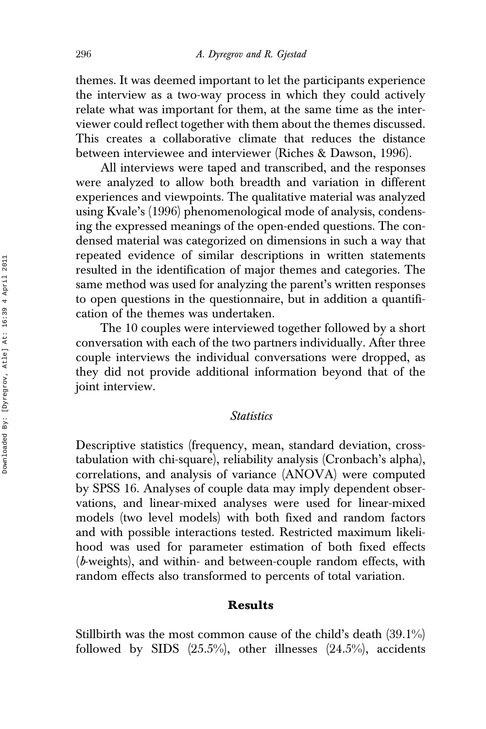themes. It was deemed important to let the participants experience the interview as a two-way process in which they could actively relate what was important for them, at the same time as the interviewer could reflect together with them about the themes discussed. This creates a collaborative climate that reduces the distance between interviewee and interviewer (Riches & Dawson, 1996).

All interviews were taped and transcribed, and the responses were analyzed to allow both breadth and variation in different experiences and viewpoints. The qualitative material was analyzed using Kvale's (1996) phenomenological mode of analysis, condensing the expressed meanings of the open-ended questions. The condensed material was categorized on dimensions in such a way that repeated evidence of similar descriptions in written statements resulted in the identification of major themes and categories. The same method was used for analyzing the parent's written responses to open questions in the questionnaire, but in addition a quantification of the themes was undertaken.

The 10 couples were interviewed together followed by a short conversation with each of the two partners individually. After three couple interviews the individual conversations were dropped, as they did not provide additional information beyond that of the joint interview.

### Statistics

Descriptive statistics (frequency, mean, standard deviation, crosstabulation with chi-square), reliability analysis (Cronbach's alpha), correlations, and analysis of variance (ANOVA) were computed by SPSS 16. Analyses of couple data may imply dependent observations, and linear-mixed analyses were used for linear-mixed models (two level models) with both fixed and random factors and with possible interactions tested. Restricted maximum likelihood was used for parameter estimation of both fixed effects (b-weights), and within- and between-couple random effects, with random effects also transformed to percents of total variation.

## Results

Stillbirth was the most common cause of the child's death (39.1%) followed by SIDS  $(25.5\%)$ , other illnesses  $(24.5\%)$ , accidents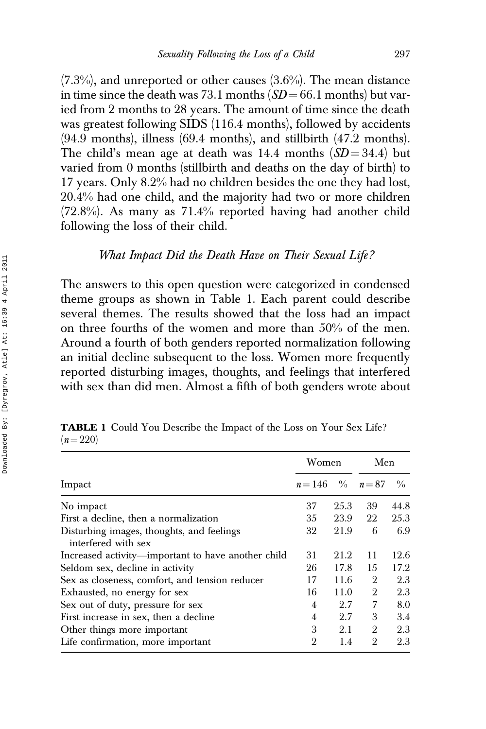$(7.3\%)$ , and unreported or other causes  $(3.6\%)$ . The mean distance in time since the death was 73.1 months  $(SD = 66.1 \text{ months})$  but varied from 2 months to 28 years. The amount of time since the death was greatest following SIDS (116.4 months), followed by accidents (94.9 months), illness (69.4 months), and stillbirth (47.2 months). The child's mean age at death was 14.4 months  $SD = 34.4$ ) but varied from 0 months (stillbirth and deaths on the day of birth) to 17 years. Only 8.2% had no children besides the one they had lost, 20.4% had one child, and the majority had two or more children (72.8%). As many as 71.4% reported having had another child following the loss of their child.

### What Impact Did the Death Have on Their Sexual Life?

The answers to this open question were categorized in condensed theme groups as shown in Table 1. Each parent could describe several themes. The results showed that the loss had an impact on three fourths of the women and more than 50% of the men. Around a fourth of both genders reported normalization following an initial decline subsequent to the loss. Women more frequently reported disturbing images, thoughts, and feelings that interfered with sex than did men. Almost a fifth of both genders wrote about

|                                                                  | Women          |      | Men            |               |
|------------------------------------------------------------------|----------------|------|----------------|---------------|
| Impact                                                           | $n = 146$ %    |      | $n = 87$       | $\frac{0}{0}$ |
| No impact                                                        | 37             | 25.3 | 39             | 44.8          |
| First a decline, then a normalization                            | 35             | 23.9 | 22             | 25.3          |
| Disturbing images, thoughts, and feelings<br>interfered with sex | 32             | 21.9 | 6              | 6.9           |
| Increased activity-important to have another child               | 31             | 21.2 | 11             | 12.6          |
| Seldom sex, decline in activity                                  | 26             | 17.8 | 15             | 17.2          |
| Sex as closeness, comfort, and tension reducer                   | 17             | 11.6 | 2              | 2.3           |
| Exhausted, no energy for sex                                     | 16             | 11.0 | 2              | 2.3           |
| Sex out of duty, pressure for sex                                | 4              | 2.7  | 7              | 8.0           |
| First increase in sex, then a decline                            | 4              | 2.7  | 3              | 3.4           |
| Other things more important                                      | 3              | 2.1  | $\overline{2}$ | 2.3           |
| Life confirmation, more important                                | $\mathfrak{D}$ | 1.4  | 2              | 2.3           |

**TABLE 1** Could You Describe the Impact of the Loss on Your Sex Life?  $(n = 220)$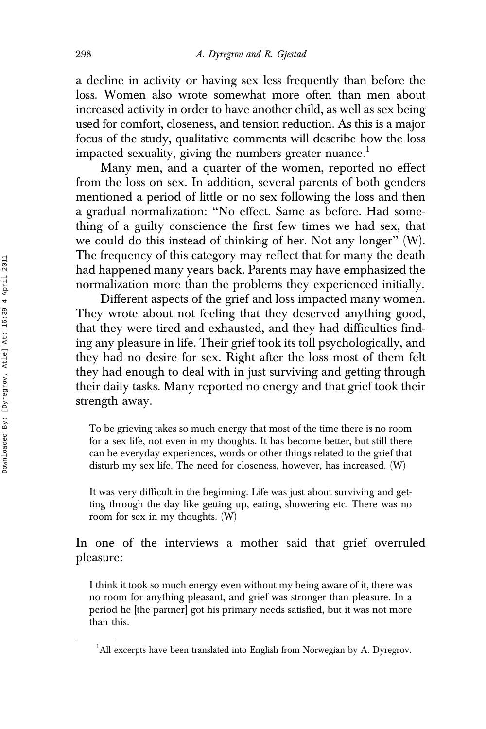a decline in activity or having sex less frequently than before the loss. Women also wrote somewhat more often than men about increased activity in order to have another child, as well as sex being used for comfort, closeness, and tension reduction. As this is a major focus of the study, qualitative comments will describe how the loss impacted sexuality, giving the numbers greater nuance.<sup>1</sup>

Many men, and a quarter of the women, reported no effect from the loss on sex. In addition, several parents of both genders mentioned a period of little or no sex following the loss and then a gradual normalization: ''No effect. Same as before. Had something of a guilty conscience the first few times we had sex, that we could do this instead of thinking of her. Not any longer'' (W). The frequency of this category may reflect that for many the death had happened many years back. Parents may have emphasized the normalization more than the problems they experienced initially.

Different aspects of the grief and loss impacted many women. They wrote about not feeling that they deserved anything good, that they were tired and exhausted, and they had difficulties finding any pleasure in life. Their grief took its toll psychologically, and they had no desire for sex. Right after the loss most of them felt they had enough to deal with in just surviving and getting through their daily tasks. Many reported no energy and that grief took their strength away.

To be grieving takes so much energy that most of the time there is no room for a sex life, not even in my thoughts. It has become better, but still there can be everyday experiences, words or other things related to the grief that disturb my sex life. The need for closeness, however, has increased. (W)

It was very difficult in the beginning. Life was just about surviving and getting through the day like getting up, eating, showering etc. There was no room for sex in my thoughts. (W)

In one of the interviews a mother said that grief overruled pleasure:

I think it took so much energy even without my being aware of it, there was no room for anything pleasant, and grief was stronger than pleasure. In a period he [the partner] got his primary needs satisfied, but it was not more than this.

<sup>&</sup>lt;sup>1</sup>All excerpts have been translated into English from Norwegian by A. Dyregrov.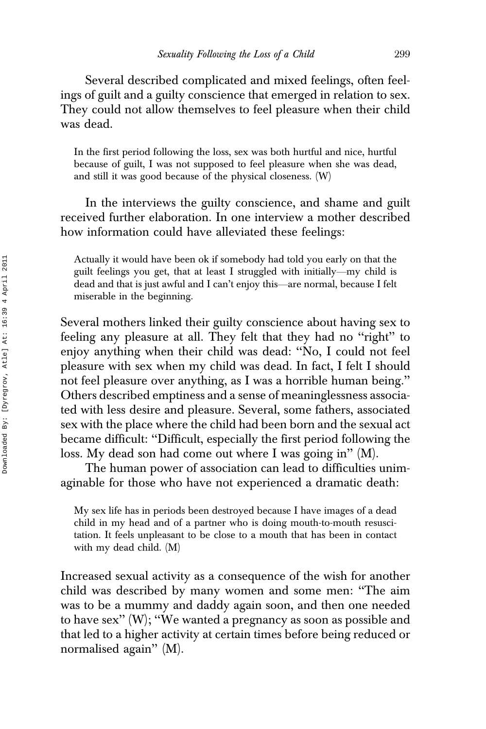Several described complicated and mixed feelings, often feelings of guilt and a guilty conscience that emerged in relation to sex. They could not allow themselves to feel pleasure when their child was dead.

In the first period following the loss, sex was both hurtful and nice, hurtful because of guilt, I was not supposed to feel pleasure when she was dead, and still it was good because of the physical closeness. (W)

In the interviews the guilty conscience, and shame and guilt received further elaboration. In one interview a mother described how information could have alleviated these feelings:

Actually it would have been ok if somebody had told you early on that the guilt feelings you get, that at least I struggled with initially—my child is dead and that is just awful and I can't enjoy this—are normal, because I felt miserable in the beginning.

Several mothers linked their guilty conscience about having sex to feeling any pleasure at all. They felt that they had no "right" to enjoy anything when their child was dead: ''No, I could not feel pleasure with sex when my child was dead. In fact, I felt I should not feel pleasure over anything, as I was a horrible human being.'' Others described emptiness and a sense of meaninglessness associated with less desire and pleasure. Several, some fathers, associated sex with the place where the child had been born and the sexual act became difficult: ''Difficult, especially the first period following the loss. My dead son had come out where I was going in'' (M).

The human power of association can lead to difficulties unimaginable for those who have not experienced a dramatic death:

My sex life has in periods been destroyed because I have images of a dead child in my head and of a partner who is doing mouth-to-mouth resuscitation. It feels unpleasant to be close to a mouth that has been in contact with my dead child. (M)

Increased sexual activity as a consequence of the wish for another child was described by many women and some men: ''The aim was to be a mummy and daddy again soon, and then one needed to have sex'' (W); ''We wanted a pregnancy as soon as possible and that led to a higher activity at certain times before being reduced or normalised again'' (M).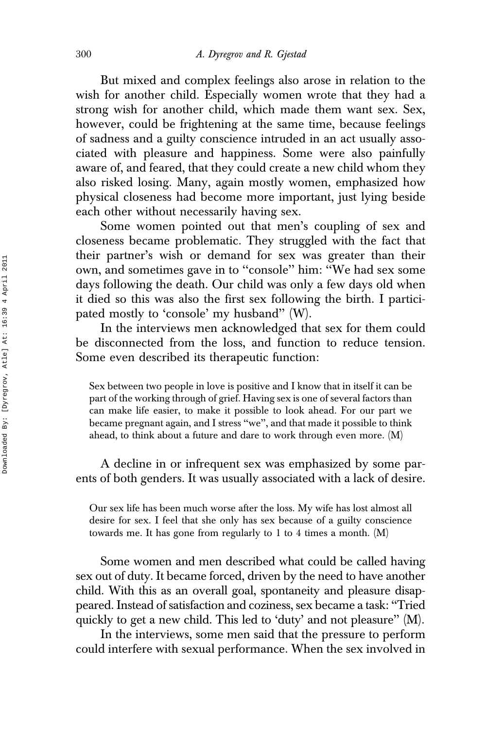But mixed and complex feelings also arose in relation to the wish for another child. Especially women wrote that they had a strong wish for another child, which made them want sex. Sex, however, could be frightening at the same time, because feelings of sadness and a guilty conscience intruded in an act usually associated with pleasure and happiness. Some were also painfully aware of, and feared, that they could create a new child whom they also risked losing. Many, again mostly women, emphasized how physical closeness had become more important, just lying beside each other without necessarily having sex.

Some women pointed out that men's coupling of sex and closeness became problematic. They struggled with the fact that their partner's wish or demand for sex was greater than their own, and sometimes gave in to ''console'' him: ''We had sex some days following the death. Our child was only a few days old when it died so this was also the first sex following the birth. I participated mostly to 'console' my husband'' (W).

In the interviews men acknowledged that sex for them could be disconnected from the loss, and function to reduce tension. Some even described its therapeutic function:

Sex between two people in love is positive and I know that in itself it can be part of the working through of grief. Having sex is one of several factors than can make life easier, to make it possible to look ahead. For our part we became pregnant again, and I stress ''we'', and that made it possible to think ahead, to think about a future and dare to work through even more. (M)

A decline in or infrequent sex was emphasized by some parents of both genders. It was usually associated with a lack of desire.

Our sex life has been much worse after the loss. My wife has lost almost all desire for sex. I feel that she only has sex because of a guilty conscience towards me. It has gone from regularly to 1 to 4 times a month. (M)

Some women and men described what could be called having sex out of duty. It became forced, driven by the need to have another child. With this as an overall goal, spontaneity and pleasure disappeared. Instead of satisfaction and coziness, sex became a task: ''Tried quickly to get a new child. This led to 'duty' and not pleasure'' (M).

In the interviews, some men said that the pressure to perform could interfere with sexual performance. When the sex involved in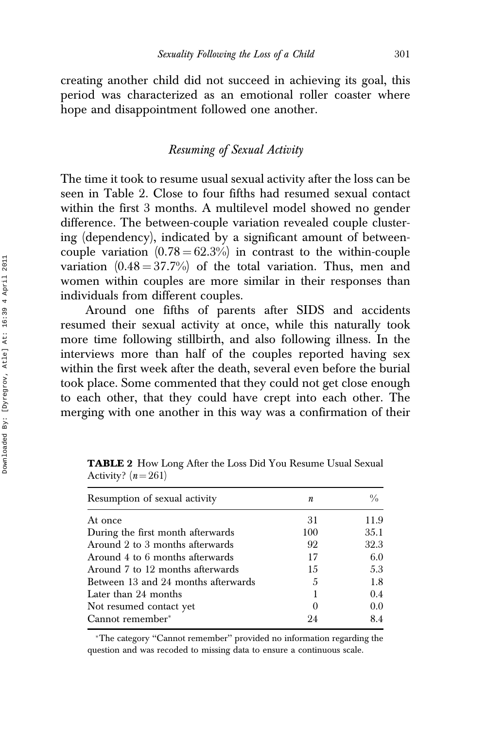creating another child did not succeed in achieving its goal, this period was characterized as an emotional roller coaster where hope and disappointment followed one another.

# Resuming of Sexual Activity

The time it took to resume usual sexual activity after the loss can be seen in Table 2. Close to four fifths had resumed sexual contact within the first 3 months. A multilevel model showed no gender difference. The between-couple variation revealed couple clustering (dependency), indicated by a significant amount of betweencouple variation  $(0.78 = 62.3\%)$  in contrast to the within-couple variation  $(0.48 = 37.7%)$  of the total variation. Thus, men and women within couples are more similar in their responses than individuals from different couples.

Around one fifths of parents after SIDS and accidents resumed their sexual activity at once, while this naturally took more time following stillbirth, and also following illness. In the interviews more than half of the couples reported having sex within the first week after the death, several even before the burial took place. Some commented that they could not get close enough to each other, that they could have crept into each other. The merging with one another in this way was a confirmation of their

| Resumption of sexual activity       | n        | $\frac{0}{0}$ |
|-------------------------------------|----------|---------------|
| At once                             | 31       | 11.9          |
| During the first month afterwards   | 100      | 35.1          |
| Around 2 to 3 months afterwards     | 92       | 32.3          |
| Around 4 to 6 months afterwards     | 17       | 6.0           |
| Around 7 to 12 months afterwards    | 15       | 5.3           |
| Between 13 and 24 months afterwards | 5        | 1.8           |
| Later than 24 months                |          | 0.4           |
| Not resumed contact yet             | $\Omega$ | 0.0           |
| Cannot remember*                    | 24       | 8.4           |
|                                     |          |               |

TABLE 2 How Long After the Loss Did You Resume Usual Sexual Activity?  $(n=261)$ 

The category ''Cannot remember'' provided no information regarding the question and was recoded to missing data to ensure a continuous scale.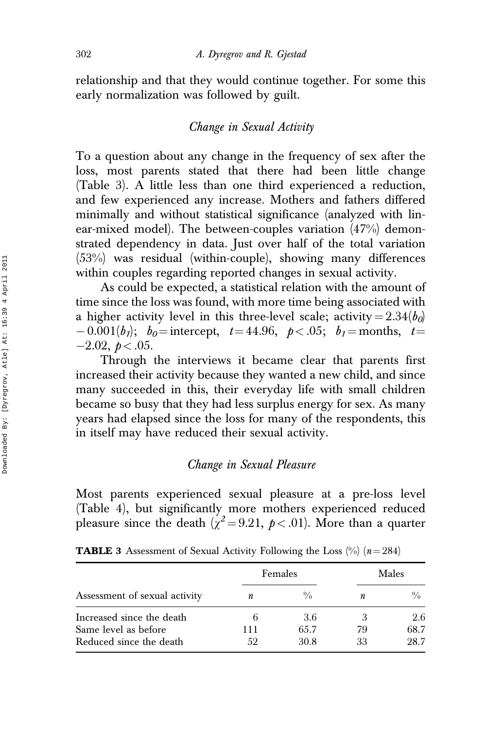relationship and that they would continue together. For some this early normalization was followed by guilt.

## Change in Sexual Activity

To a question about any change in the frequency of sex after the loss, most parents stated that there had been little change (Table 3). A little less than one third experienced a reduction, and few experienced any increase. Mothers and fathers differed minimally and without statistical significance (analyzed with linear-mixed model). The between-couples variation (47%) demonstrated dependency in data. Just over half of the total variation (53%) was residual (within-couple), showing many differences within couples regarding reported changes in sexual activity.

As could be expected, a statistical relation with the amount of time since the loss was found, with more time being associated with a higher activity level in this three-level scale; activity  $= 2.34(b_0)$  $-0.001(b_7); b_0 =$  intercept,  $t = 44.96, p < .05; b_7 =$  months,  $t =$  $-2.02, p < .05.$ 

Through the interviews it became clear that parents first increased their activity because they wanted a new child, and since many succeeded in this, their everyday life with small children became so busy that they had less surplus energy for sex. As many years had elapsed since the loss for many of the respondents, this in itself may have reduced their sexual activity.

# Change in Sexual Pleasure

Most parents experienced sexual pleasure at a pre-loss level (Table 4), but significantly more mothers experienced reduced pleasure since the death  $(\chi^2 = 9.21, \, \rho < .01)$ . More than a quarter

**TABLE 3** Assessment of Sexual Activity Following the Loss  $(\%)$  ( $n = 284$ )

|                               |     | Females       |    | Males         |
|-------------------------------|-----|---------------|----|---------------|
| Assessment of sexual activity | n   | $\frac{0}{0}$ | n  | $\frac{0}{0}$ |
| Increased since the death     | h   | 3.6           | 3  | 2.6           |
| Same level as before          | 111 | 65.7          | 79 | 68.7          |
| Reduced since the death       | 52  | 30.8          | 33 | 28.7          |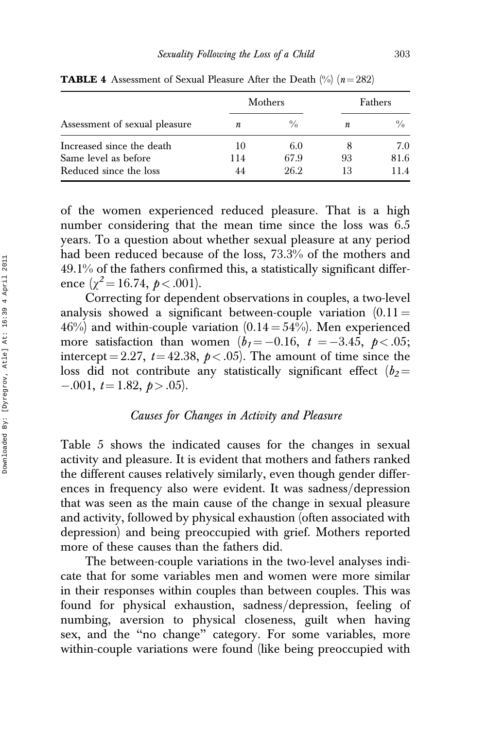|                               |                  | Mothers       |                  | Fathers       |
|-------------------------------|------------------|---------------|------------------|---------------|
| Assessment of sexual pleasure | $\boldsymbol{n}$ | $\frac{0}{0}$ | $\boldsymbol{n}$ | $\frac{0}{0}$ |
| Increased since the death     | 10               | 6.0           |                  | 7.0           |
| Same level as before          | 114              | 67.9          | 93               | 81.6          |
| Reduced since the loss        | 44               | 26.2          | 13               | 11.4          |

**TABLE 4** Assessment of Sexual Pleasure After the Death  $\binom{0}{0}$  ( $n = 282$ )

of the women experienced reduced pleasure. That is a high number considering that the mean time since the loss was 6.5 years. To a question about whether sexual pleasure at any period had been reduced because of the loss, 73.3% of the mothers and 49.1% of the fathers confirmed this, a statistically significant difference  $(\chi^2 = 16.74, p < .001)$ .

Correcting for dependent observations in couples, a two-level analysis showed a significant between-couple variation  $(0.11 =$ 46%) and within-couple variation  $(0.14 = 54%$ ). Men experienced more satisfaction than women  $(b_1 = -0.16, t = -3.45, p < .05;$ intercept = 2.27,  $t = 42.38$ ,  $p < .05$ ). The amount of time since the loss did not contribute any statistically significant effect  $(b_2 =$  $-0.001, t = 1.82, p > 0.05$ .

### Causes for Changes in Activity and Pleasure

Table 5 shows the indicated causes for the changes in sexual activity and pleasure. It is evident that mothers and fathers ranked the different causes relatively similarly, even though gender differences in frequency also were evident. It was sadness/depression that was seen as the main cause of the change in sexual pleasure and activity, followed by physical exhaustion (often associated with depression) and being preoccupied with grief. Mothers reported more of these causes than the fathers did.

The between-couple variations in the two-level analyses indicate that for some variables men and women were more similar in their responses within couples than between couples. This was found for physical exhaustion, sadness/depression, feeling of numbing, aversion to physical closeness, guilt when having sex, and the ''no change'' category. For some variables, more within-couple variations were found (like being preoccupied with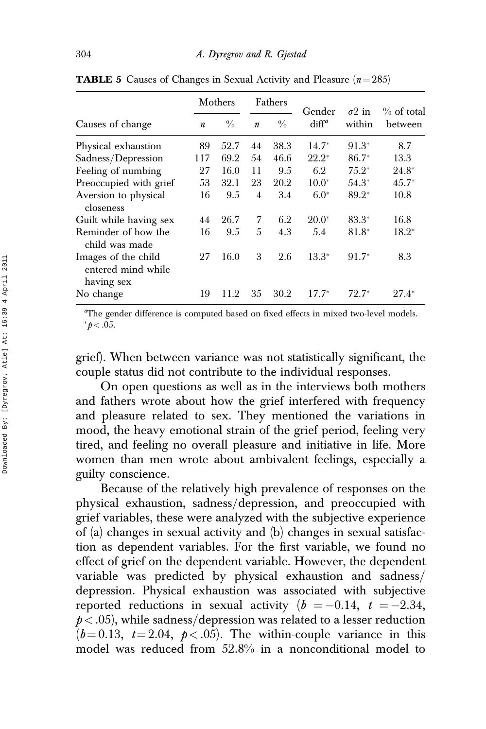|                                                         |                  | Mothers       |                  | Fathers       |                             | $\sigma$ 2 in |                          |
|---------------------------------------------------------|------------------|---------------|------------------|---------------|-----------------------------|---------------|--------------------------|
| Causes of change                                        | $\boldsymbol{n}$ | $\frac{0}{0}$ | $\boldsymbol{n}$ | $\frac{0}{0}$ | Gender<br>diff <sup>a</sup> | within        | $\%$ of total<br>between |
| Physical exhaustion                                     | 89               | 52.7          | 44               | 38.3          | $14.7*$                     | $91.3*$       | 8.7                      |
| Sadness/Depression                                      | 117              | 69.2          | 54               | 46.6          | $22.2*$                     | $86.7*$       | 13.3                     |
| Feeling of numbing                                      | 27               | 16.0          | 11               | 9.5           | 6.2                         | $75.2*$       | $24.8*$                  |
| Preoccupied with grief                                  | 53               | 32.1          | 23               | 20.2          | $10.0*$                     | $54.3*$       | $4.5.7*$                 |
| Aversion to physical<br>closeness                       | 16               | 9.5           | 4                | 3.4           | $6.0*$                      | $89.2*$       | 10.8                     |
| Guilt while having sex                                  | 44               | 26.7          | 7                | 6.2           | $20.0*$                     | 83.3*         | 16.8                     |
| Reminder of how the<br>child was made                   | 16               | 9.5           | 5                | 4.3           | 5.4                         | 81.8*         | $18.2*$                  |
| Images of the child<br>entered mind while<br>having sex | 27               | 16.0          | 3                | 2.6           | $13.3*$                     | $91.7*$       | 8.3                      |
| No change                                               | 19               | 11.2          | 35               | 30.2          | $17.7*$                     | $72.7*$       | $27.4*$                  |

**TABLE 5** Causes of Changes in Sexual Activity and Pleasure  $(n=285)$ 

a The gender difference is computed based on fixed effects in mixed two-level models. \* $p < .05$ .

grief). When between variance was not statistically significant, the couple status did not contribute to the individual responses.

On open questions as well as in the interviews both mothers and fathers wrote about how the grief interfered with frequency and pleasure related to sex. They mentioned the variations in mood, the heavy emotional strain of the grief period, feeling very tired, and feeling no overall pleasure and initiative in life. More women than men wrote about ambivalent feelings, especially a guilty conscience.

Because of the relatively high prevalence of responses on the physical exhaustion, sadness/depression, and preoccupied with grief variables, these were analyzed with the subjective experience of (a) changes in sexual activity and (b) changes in sexual satisfaction as dependent variables. For the first variable, we found no effect of grief on the dependent variable. However, the dependent variable was predicted by physical exhaustion and sadness/ depression. Physical exhaustion was associated with subjective reported reductions in sexual activity  $(b = -0.14, t = -2.34,$  $p < .05$ , while sadness/depression was related to a lesser reduction  $(b=0.13, t=2.04, p<.05)$ . The within-couple variance in this model was reduced from 52.8% in a nonconditional model to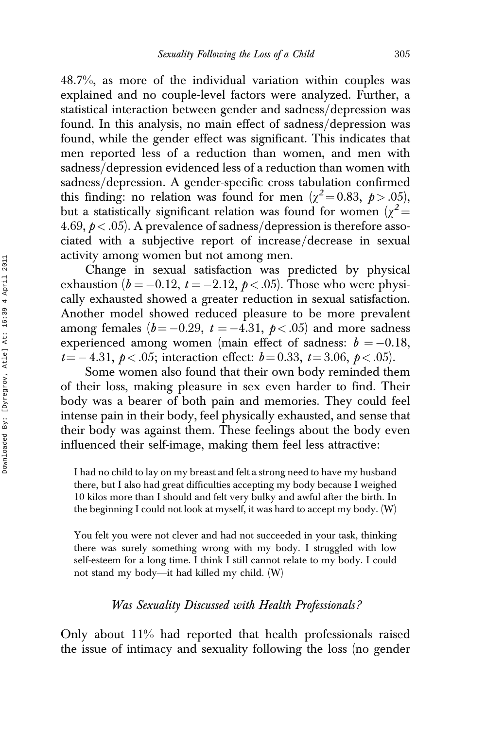48.7%, as more of the individual variation within couples was explained and no couple-level factors were analyzed. Further, a statistical interaction between gender and sadness/depression was found. In this analysis, no main effect of sadness/depression was found, while the gender effect was significant. This indicates that men reported less of a reduction than women, and men with sadness/depression evidenced less of a reduction than women with sadness/depression. A gender-specific cross tabulation confirmed this finding: no relation was found for men ( $\chi^2$  = 0.83, p > .05), but a statistically significant relation was found for women  $\chi^2$  = 4.69,  $p < .05$ ). A prevalence of sadness/depression is therefore associated with a subjective report of increase/decrease in sexual activity among women but not among men.

Change in sexual satisfaction was predicted by physical exhaustion ( $b = -0.12$ ,  $t = -2.12$ ,  $p < .05$ ). Those who were physically exhausted showed a greater reduction in sexual satisfaction. Another model showed reduced pleasure to be more prevalent among females  $(b\!=\!-0.29,~t=-4.31,~p\!<.05)$  and more sadness experienced among women (main effect of sadness:  $b = -0.18$ ,  $t = -4.31, p < .05$ ; interaction effect:  $b = 0.33, t = 3.06, p < .05$ ).

Some women also found that their own body reminded them of their loss, making pleasure in sex even harder to find. Their body was a bearer of both pain and memories. They could feel intense pain in their body, feel physically exhausted, and sense that their body was against them. These feelings about the body even influenced their self-image, making them feel less attractive:

I had no child to lay on my breast and felt a strong need to have my husband there, but I also had great difficulties accepting my body because I weighed 10 kilos more than I should and felt very bulky and awful after the birth. In the beginning I could not look at myself, it was hard to accept my body. (W)

You felt you were not clever and had not succeeded in your task, thinking there was surely something wrong with my body. I struggled with low self-esteem for a long time. I think I still cannot relate to my body. I could not stand my body—it had killed my child. (W)

### Was Sexuality Discussed with Health Professionals?

Only about 11% had reported that health professionals raised the issue of intimacy and sexuality following the loss (no gender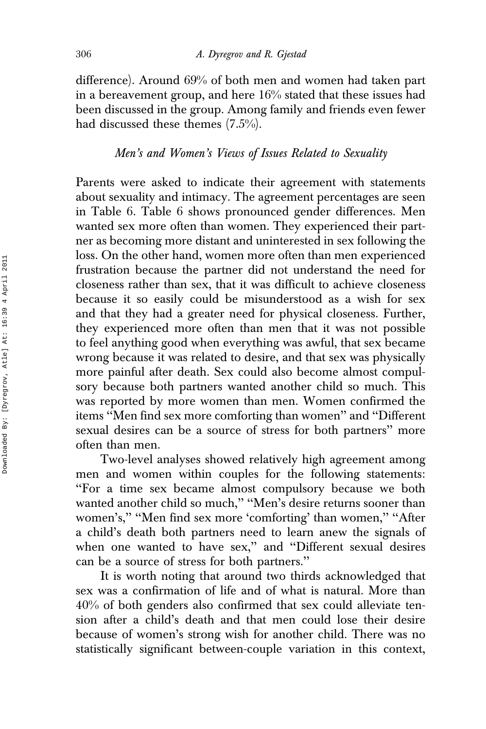difference). Around 69% of both men and women had taken part in a bereavement group, and here 16% stated that these issues had been discussed in the group. Among family and friends even fewer had discussed these themes (7.5%).

# Men's and Women's Views of Issues Related to Sexuality

Parents were asked to indicate their agreement with statements about sexuality and intimacy. The agreement percentages are seen in Table 6. Table 6 shows pronounced gender differences. Men wanted sex more often than women. They experienced their partner as becoming more distant and uninterested in sex following the loss. On the other hand, women more often than men experienced frustration because the partner did not understand the need for closeness rather than sex, that it was difficult to achieve closeness because it so easily could be misunderstood as a wish for sex and that they had a greater need for physical closeness. Further, they experienced more often than men that it was not possible to feel anything good when everything was awful, that sex became wrong because it was related to desire, and that sex was physically more painful after death. Sex could also become almost compulsory because both partners wanted another child so much. This was reported by more women than men. Women confirmed the items ''Men find sex more comforting than women'' and ''Different sexual desires can be a source of stress for both partners'' more often than men.

Two-level analyses showed relatively high agreement among men and women within couples for the following statements: ''For a time sex became almost compulsory because we both wanted another child so much," "Men's desire returns sooner than women's," "Men find sex more 'comforting' than women," "After a child's death both partners need to learn anew the signals of when one wanted to have sex," and "Different sexual desires can be a source of stress for both partners.''

It is worth noting that around two thirds acknowledged that sex was a confirmation of life and of what is natural. More than 40% of both genders also confirmed that sex could alleviate tension after a child's death and that men could lose their desire because of women's strong wish for another child. There was no statistically significant between-couple variation in this context,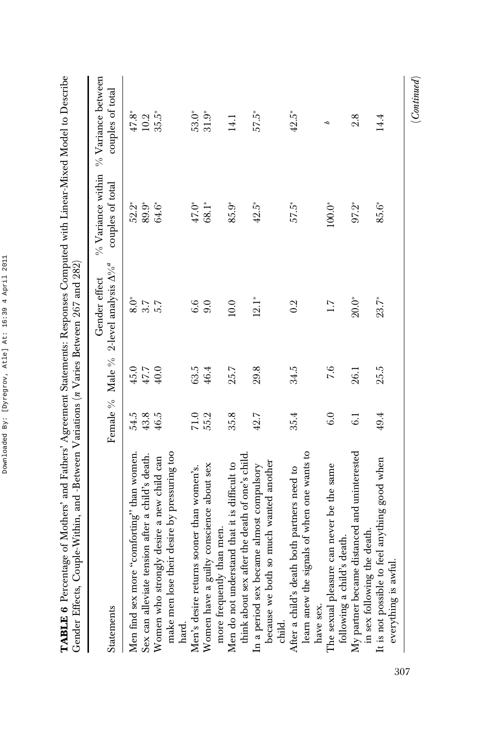| Gender Effects, Couple-Within, and -Between Variations (n Varies Between 267 and 282)      |      |      |                                                                |                  |                                                             |
|--------------------------------------------------------------------------------------------|------|------|----------------------------------------------------------------|------------------|-------------------------------------------------------------|
| <b>Statements</b>                                                                          |      |      | Female % Male % 2-level analysis $\Delta\%^a$<br>Gender effect | couples of total | % Variance within $\%$ Variance between<br>couples of total |
| Men find sex more "comforting" than women.                                                 | 54.5 | 45.0 | $8.0*$                                                         | $52.2*$          | $47.8*$                                                     |
| Sex can alleviate tension after a child's death.                                           | 43.8 | 47.7 | 3.7                                                            | $89.9*$          | 10.2                                                        |
| Women who strongly desire a new child can                                                  | 46.5 | 40.0 | 5.7                                                            | 64.6*            | $35.5*$                                                     |
| make men lose their desire by pressuring too<br>hard.                                      |      |      |                                                                |                  |                                                             |
| Men's desire returns sooner than women's.                                                  | 71.0 | 63.5 | 6.6                                                            | $47.0*$          | $53.0*$                                                     |
| Women have a guilty conscience about sex<br>more frequently than men.                      | 55.2 | 46.4 | 9.0                                                            | 68.1*            | $31.9*$                                                     |
| Men do not understand that it is difficult to                                              | 35.8 | 25.7 | 10.0                                                           | 85.9*            | 14.1                                                        |
| think about sex after the death of one's child                                             |      |      |                                                                |                  |                                                             |
| because we both so much wanted another<br>In a period sex became almost compulsory         | 42.7 | 29.8 | $12.1*$                                                        | $42.5*$          | $57.5*$                                                     |
| child.                                                                                     |      |      |                                                                |                  |                                                             |
| learn anew the signals of when one wants to<br>After a child's death both partners need to | 35.4 | 34.5 | 0.2                                                            | $57.5*$          | $42.5*$                                                     |
| have sex.                                                                                  |      |      |                                                                |                  |                                                             |
| The sexual pleasure can never be the same<br>following a child's death.                    | 6.0  | 7.6  | 1.7                                                            | $100.0*$         | b                                                           |
| My partner became distanced and uninterested<br>in sex following the death.                | 6.1  | 26.1 | $20.0*$                                                        | $97.2*$          | 2.8                                                         |
| It is not possible to feel anything good when<br>everything is awful.                      | 49.4 | 25.5 | 23.7*                                                          | 85.6*            | 14.4                                                        |

TABLE 6 Percentage of Mothers' and Fathers' Agreement Statements: Responses Computed with Linear-Mixed Model to Describe TABLE 6 Percentage of Mothers' and Fathers' Agreement Statements: Responses Computed with Linear-Mixed Model to Describe

Downloaded By: [Dyregrov, Atle] At: 16:39 4 April 2011

Downloaded By: [Dyregrov, Atle] At: 16:39 4 April 2011

 $\left(Continued\right)$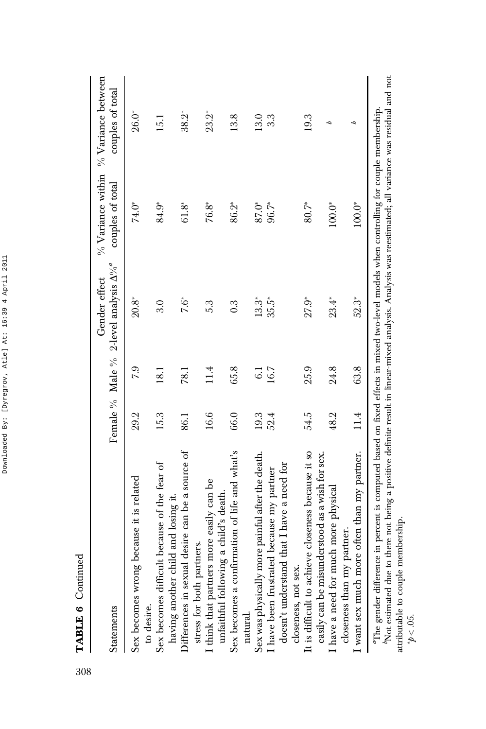| <b>Statements</b>                                                                                                                                                                                                                                                                                                                                    |      |      | Female % Male % 2-level analysis $\Delta\%^a$<br>Gender effect | couples of total | % Variance within $\%$ Variance between<br>couples of total |
|------------------------------------------------------------------------------------------------------------------------------------------------------------------------------------------------------------------------------------------------------------------------------------------------------------------------------------------------------|------|------|----------------------------------------------------------------|------------------|-------------------------------------------------------------|
| Sex becomes wrong because it is related<br>to desire.                                                                                                                                                                                                                                                                                                | 29.2 | 7.9  | $20.8*$                                                        | 74.0*            | $26.0*$                                                     |
| Sex becomes difficult because of the fear of<br>having another child and losing it.                                                                                                                                                                                                                                                                  | 15.3 | 18.1 | 3.0                                                            | $84.9*$          | 15.1                                                        |
| Differences in sexual desire can be a source of<br>stress for both partners.                                                                                                                                                                                                                                                                         | 86.1 | 78.1 | $7.6*$                                                         | $61.8*$          | 38.2*                                                       |
| I think that partners more easily can be<br>unfaithful following a child's death.                                                                                                                                                                                                                                                                    | 16.6 | 11.4 | 5.3                                                            | $76.8*$          | $23.2*$                                                     |
| Sex becomes a confirmation of life and what's<br>natural.                                                                                                                                                                                                                                                                                            | 66.0 | 65.8 | 0.3                                                            | 86.2*            | 13.8                                                        |
| Sex was physically more painful after the death.                                                                                                                                                                                                                                                                                                     | 19.3 | 61   | $13.3*$                                                        | 87.0*            | 13.0                                                        |
| I have been frustrated because my partner                                                                                                                                                                                                                                                                                                            | 52.4 | 16.7 | $35.5*$                                                        | 96.7*            | 3.3                                                         |
| doesn't understand that I have a need for<br>closeness, not sex.                                                                                                                                                                                                                                                                                     |      |      |                                                                |                  |                                                             |
| It is difficult to achieve closeness because it so                                                                                                                                                                                                                                                                                                   | 54.5 | 25.9 | $27.9*$                                                        | 80.7*            | 19.3                                                        |
| easily can be misunderstood as a wish for sex.<br>I have a need for much more physical                                                                                                                                                                                                                                                               | 48.2 | 24.8 | $23.4*$                                                        | $100.0*$         | b                                                           |
| I want sex much more often than my partner.<br>closeness than my partner.                                                                                                                                                                                                                                                                            | 11.4 | 63.8 | $52.3*$                                                        | $100.0*$         | b                                                           |
| Not estimated due to there not being a positive definite result in linear-mixed analysis. Analysis was reestimated; all variance was residual and not<br>"The gender difference in percent is computed based on fixed effects in mixed two-level models when controlling for couple membership<br>attributable to couple membership.<br>$p < 0.05$ . |      |      |                                                                |                  |                                                             |

**TABLE 6 Continued** TABLE 6 Continued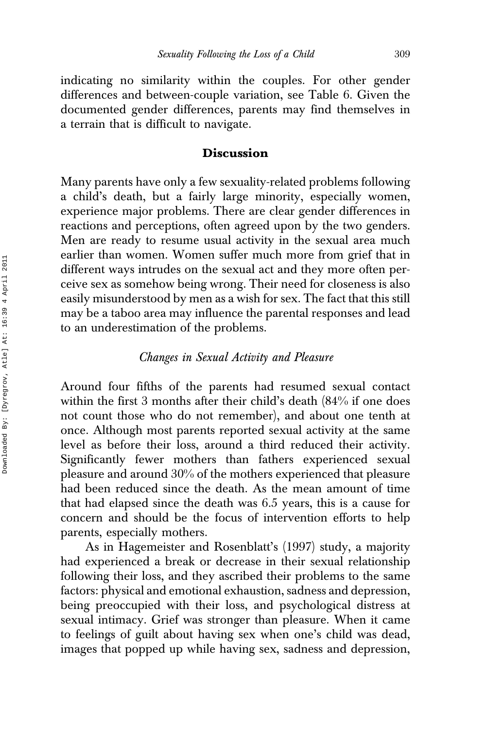indicating no similarity within the couples. For other gender differences and between-couple variation, see Table 6. Given the documented gender differences, parents may find themselves in a terrain that is difficult to navigate.

### Discussion

Many parents have only a few sexuality-related problems following a child's death, but a fairly large minority, especially women, experience major problems. There are clear gender differences in reactions and perceptions, often agreed upon by the two genders. Men are ready to resume usual activity in the sexual area much earlier than women. Women suffer much more from grief that in different ways intrudes on the sexual act and they more often perceive sex as somehow being wrong. Their need for closeness is also easily misunderstood by men as a wish for sex. The fact that this still may be a taboo area may influence the parental responses and lead to an underestimation of the problems.

### Changes in Sexual Activity and Pleasure

Around four fifths of the parents had resumed sexual contact within the first 3 months after their child's death (84% if one does not count those who do not remember), and about one tenth at once. Although most parents reported sexual activity at the same level as before their loss, around a third reduced their activity. Significantly fewer mothers than fathers experienced sexual pleasure and around 30% of the mothers experienced that pleasure had been reduced since the death. As the mean amount of time that had elapsed since the death was 6.5 years, this is a cause for concern and should be the focus of intervention efforts to help parents, especially mothers.

As in Hagemeister and Rosenblatt's (1997) study, a majority had experienced a break or decrease in their sexual relationship following their loss, and they ascribed their problems to the same factors: physical and emotional exhaustion, sadness and depression, being preoccupied with their loss, and psychological distress at sexual intimacy. Grief was stronger than pleasure. When it came to feelings of guilt about having sex when one's child was dead, images that popped up while having sex, sadness and depression,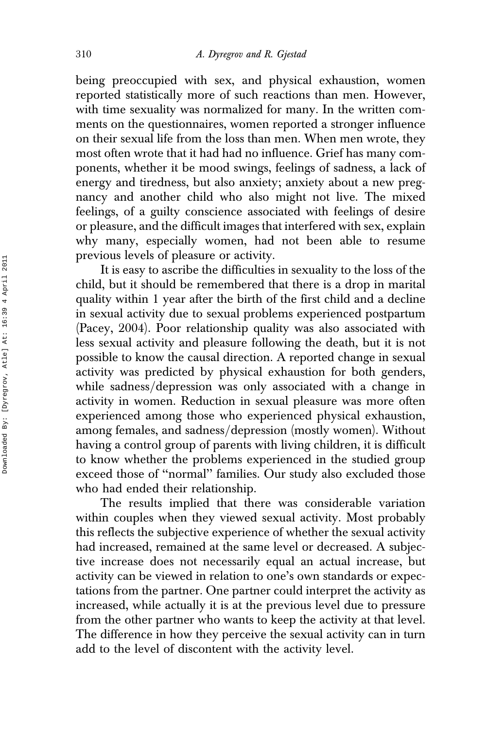being preoccupied with sex, and physical exhaustion, women reported statistically more of such reactions than men. However, with time sexuality was normalized for many. In the written comments on the questionnaires, women reported a stronger influence on their sexual life from the loss than men. When men wrote, they most often wrote that it had had no influence. Grief has many components, whether it be mood swings, feelings of sadness, a lack of energy and tiredness, but also anxiety; anxiety about a new pregnancy and another child who also might not live. The mixed feelings, of a guilty conscience associated with feelings of desire or pleasure, and the difficult images that interfered with sex, explain why many, especially women, had not been able to resume previous levels of pleasure or activity.

It is easy to ascribe the difficulties in sexuality to the loss of the child, but it should be remembered that there is a drop in marital quality within 1 year after the birth of the first child and a decline in sexual activity due to sexual problems experienced postpartum (Pacey, 2004). Poor relationship quality was also associated with less sexual activity and pleasure following the death, but it is not possible to know the causal direction. A reported change in sexual activity was predicted by physical exhaustion for both genders, while sadness/depression was only associated with a change in activity in women. Reduction in sexual pleasure was more often experienced among those who experienced physical exhaustion, among females, and sadness/depression (mostly women). Without having a control group of parents with living children, it is difficult to know whether the problems experienced in the studied group exceed those of ''normal'' families. Our study also excluded those who had ended their relationship.

The results implied that there was considerable variation within couples when they viewed sexual activity. Most probably this reflects the subjective experience of whether the sexual activity had increased, remained at the same level or decreased. A subjective increase does not necessarily equal an actual increase, but activity can be viewed in relation to one's own standards or expectations from the partner. One partner could interpret the activity as increased, while actually it is at the previous level due to pressure from the other partner who wants to keep the activity at that level. The difference in how they perceive the sexual activity can in turn add to the level of discontent with the activity level.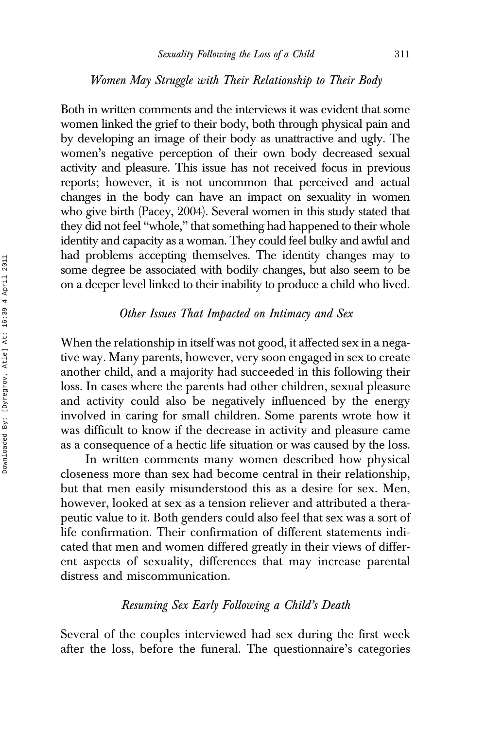### Women May Struggle with Their Relationship to Their Body

Both in written comments and the interviews it was evident that some women linked the grief to their body, both through physical pain and by developing an image of their body as unattractive and ugly. The women's negative perception of their own body decreased sexual activity and pleasure. This issue has not received focus in previous reports; however, it is not uncommon that perceived and actual changes in the body can have an impact on sexuality in women who give birth (Pacey, 2004). Several women in this study stated that they did not feel ''whole,'' that something had happened to their whole identity and capacity as a woman. They could feel bulky and awful and had problems accepting themselves. The identity changes may to some degree be associated with bodily changes, but also seem to be on a deeper level linked to their inability to produce a child who lived.

### Other Issues That Impacted on Intimacy and Sex

When the relationship in itself was not good, it affected sex in a negative way. Many parents, however, very soon engaged in sex to create another child, and a majority had succeeded in this following their loss. In cases where the parents had other children, sexual pleasure and activity could also be negatively influenced by the energy involved in caring for small children. Some parents wrote how it was difficult to know if the decrease in activity and pleasure came as a consequence of a hectic life situation or was caused by the loss.

In written comments many women described how physical closeness more than sex had become central in their relationship, but that men easily misunderstood this as a desire for sex. Men, however, looked at sex as a tension reliever and attributed a therapeutic value to it. Both genders could also feel that sex was a sort of life confirmation. Their confirmation of different statements indicated that men and women differed greatly in their views of different aspects of sexuality, differences that may increase parental distress and miscommunication.

# Resuming Sex Early Following a Child's Death

Several of the couples interviewed had sex during the first week after the loss, before the funeral. The questionnaire's categories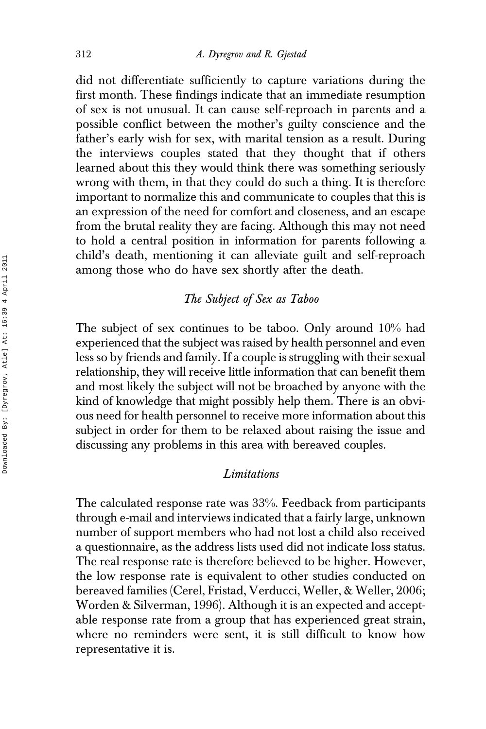did not differentiate sufficiently to capture variations during the first month. These findings indicate that an immediate resumption of sex is not unusual. It can cause self-reproach in parents and a possible conflict between the mother's guilty conscience and the father's early wish for sex, with marital tension as a result. During the interviews couples stated that they thought that if others learned about this they would think there was something seriously wrong with them, in that they could do such a thing. It is therefore important to normalize this and communicate to couples that this is an expression of the need for comfort and closeness, and an escape from the brutal reality they are facing. Although this may not need to hold a central position in information for parents following a child's death, mentioning it can alleviate guilt and self-reproach among those who do have sex shortly after the death.

# The Subject of Sex as Taboo

The subject of sex continues to be taboo. Only around 10% had experienced that the subject was raised by health personnel and even less so by friends and family. If a couple is struggling with their sexual relationship, they will receive little information that can benefit them and most likely the subject will not be broached by anyone with the kind of knowledge that might possibly help them. There is an obvious need for health personnel to receive more information about this subject in order for them to be relaxed about raising the issue and discussing any problems in this area with bereaved couples.

#### **Limitations**

The calculated response rate was 33%. Feedback from participants through e-mail and interviews indicated that a fairly large, unknown number of support members who had not lost a child also received a questionnaire, as the address lists used did not indicate loss status. The real response rate is therefore believed to be higher. However, the low response rate is equivalent to other studies conducted on bereaved families (Cerel, Fristad, Verducci, Weller, & Weller, 2006; Worden & Silverman, 1996). Although it is an expected and acceptable response rate from a group that has experienced great strain, where no reminders were sent, it is still difficult to know how representative it is.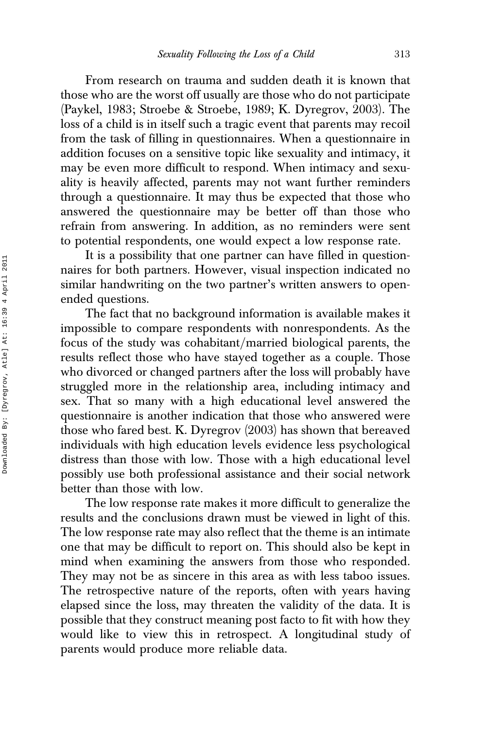From research on trauma and sudden death it is known that those who are the worst off usually are those who do not participate (Paykel, 1983; Stroebe & Stroebe, 1989; K. Dyregrov, 2003). The loss of a child is in itself such a tragic event that parents may recoil from the task of filling in questionnaires. When a questionnaire in addition focuses on a sensitive topic like sexuality and intimacy, it may be even more difficult to respond. When intimacy and sexuality is heavily affected, parents may not want further reminders through a questionnaire. It may thus be expected that those who answered the questionnaire may be better off than those who refrain from answering. In addition, as no reminders were sent to potential respondents, one would expect a low response rate.

It is a possibility that one partner can have filled in questionnaires for both partners. However, visual inspection indicated no similar handwriting on the two partner's written answers to openended questions.

The fact that no background information is available makes it impossible to compare respondents with nonrespondents. As the focus of the study was cohabitant/married biological parents, the results reflect those who have stayed together as a couple. Those who divorced or changed partners after the loss will probably have struggled more in the relationship area, including intimacy and sex. That so many with a high educational level answered the questionnaire is another indication that those who answered were those who fared best. K. Dyregrov (2003) has shown that bereaved individuals with high education levels evidence less psychological distress than those with low. Those with a high educational level possibly use both professional assistance and their social network better than those with low.

The low response rate makes it more difficult to generalize the results and the conclusions drawn must be viewed in light of this. The low response rate may also reflect that the theme is an intimate one that may be difficult to report on. This should also be kept in mind when examining the answers from those who responded. They may not be as sincere in this area as with less taboo issues. The retrospective nature of the reports, often with years having elapsed since the loss, may threaten the validity of the data. It is possible that they construct meaning post facto to fit with how they would like to view this in retrospect. A longitudinal study of parents would produce more reliable data.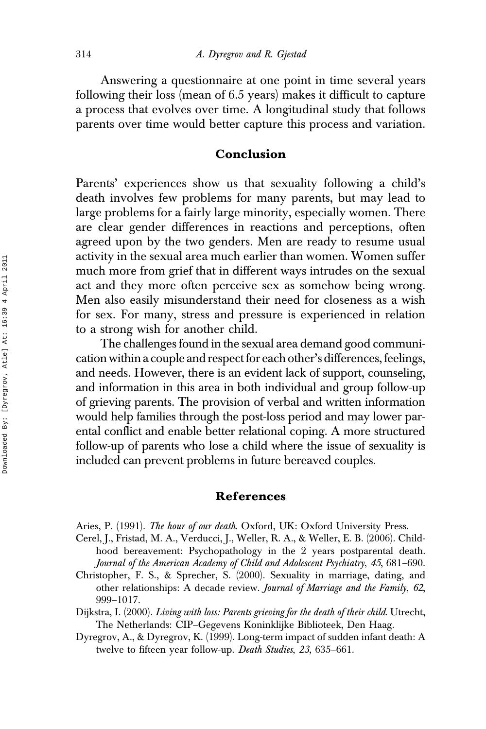Answering a questionnaire at one point in time several years following their loss (mean of 6.5 years) makes it difficult to capture a process that evolves over time. A longitudinal study that follows parents over time would better capture this process and variation.

## Conclusion

Parents' experiences show us that sexuality following a child's death involves few problems for many parents, but may lead to large problems for a fairly large minority, especially women. There are clear gender differences in reactions and perceptions, often agreed upon by the two genders. Men are ready to resume usual activity in the sexual area much earlier than women. Women suffer much more from grief that in different ways intrudes on the sexual act and they more often perceive sex as somehow being wrong. Men also easily misunderstand their need for closeness as a wish for sex. For many, stress and pressure is experienced in relation to a strong wish for another child.

The challenges found in the sexual area demand good communication within a couple and respect for each other's differences, feelings, and needs. However, there is an evident lack of support, counseling, and information in this area in both individual and group follow-up of grieving parents. The provision of verbal and written information would help families through the post-loss period and may lower parental conflict and enable better relational coping. A more structured follow-up of parents who lose a child where the issue of sexuality is included can prevent problems in future bereaved couples.

#### References

Aries, P. (1991). The hour of our death. Oxford, UK: Oxford University Press.

- Cerel, J., Fristad, M. A., Verducci, J., Weller, R. A., & Weller, E. B. (2006). Childhood bereavement: Psychopathology in the 2 years postparental death. Journal of the American Academy of Child and Adolescent Psychiatry, 45, 681–690.
- Christopher, F. S., & Sprecher, S. (2000). Sexuality in marriage, dating, and other relationships: A decade review. Journal of Marriage and the Family, 62, 999–1017.
- Dijkstra, I. (2000). Living with loss: Parents grieving for the death of their child. Utrecht, The Netherlands: CIP–Gegevens Koninklijke Biblioteek, Den Haag.
- Dyregrov, A., & Dyregrov, K. (1999). Long-term impact of sudden infant death: A twelve to fifteen year follow-up. Death Studies, 23, 635–661.